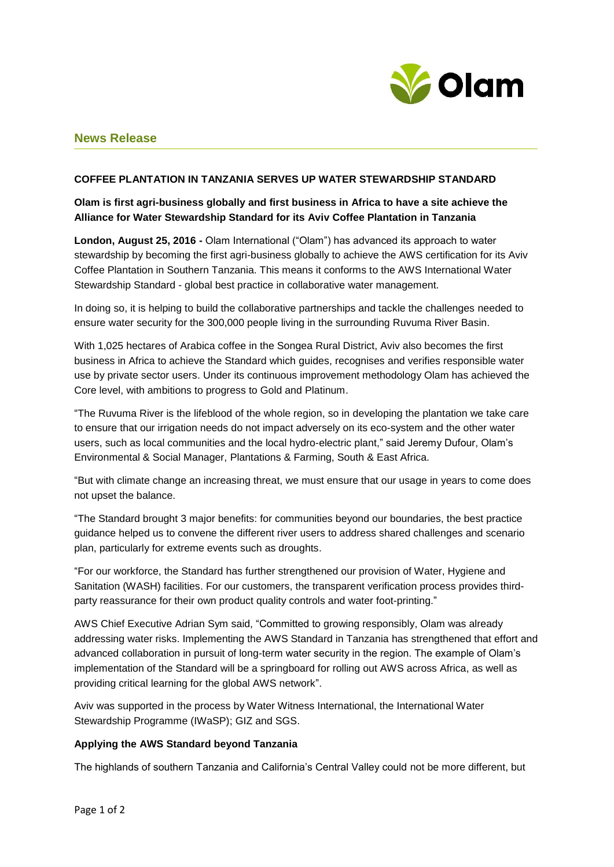

# **News Release**

## **COFFEE PLANTATION IN TANZANIA SERVES UP WATER STEWARDSHIP STANDARD**

## **Olam is first agri-business globally and first business in Africa to have a site achieve the Alliance for Water Stewardship Standard for its Aviv Coffee Plantation in Tanzania**

**London, August 25, 2016 -** Olam International ("Olam") has advanced its approach to water stewardship by becoming the first agri-business globally to achieve the AWS certification for its Aviv Coffee Plantation in Southern Tanzania. This means it conforms to the AWS International Water Stewardship Standard - global best practice in collaborative water management.

In doing so, it is helping to build the collaborative partnerships and tackle the challenges needed to ensure water security for the 300,000 people living in the surrounding Ruvuma River Basin.

With 1,025 hectares of Arabica coffee in the Songea Rural District, Aviv also becomes the first business in Africa to achieve the Standard which guides, recognises and verifies responsible water use by private sector users. Under its continuous improvement methodology Olam has achieved the Core level, with ambitions to progress to Gold and Platinum.

"The Ruvuma River is the lifeblood of the whole region, so in developing the plantation we take care to ensure that our irrigation needs do not impact adversely on its eco-system and the other water users, such as local communities and the local hydro-electric plant," said Jeremy Dufour, Olam's Environmental & Social Manager, Plantations & Farming, South & East Africa.

"But with climate change an increasing threat, we must ensure that our usage in years to come does not upset the balance.

"The Standard brought 3 major benefits: for communities beyond our boundaries, the best practice guidance helped us to convene the different river users to address shared challenges and scenario plan, particularly for extreme events such as droughts.

"For our workforce, the Standard has further strengthened our provision of Water, Hygiene and Sanitation (WASH) facilities. For our customers, the transparent verification process provides thirdparty reassurance for their own product quality controls and water foot-printing."

AWS Chief Executive Adrian Sym said, "Committed to growing responsibly, Olam was already addressing water risks. Implementing the AWS Standard in Tanzania has strengthened that effort and advanced collaboration in pursuit of long-term water security in the region. The example of Olam's implementation of the Standard will be a springboard for rolling out AWS across Africa, as well as providing critical learning for the global AWS network".

Aviv was supported in the process by Water Witness International, the International Water Stewardship Programme (IWaSP); GIZ and SGS.

## **Applying the AWS Standard beyond Tanzania**

The highlands of southern Tanzania and California's Central Valley could not be more different, but